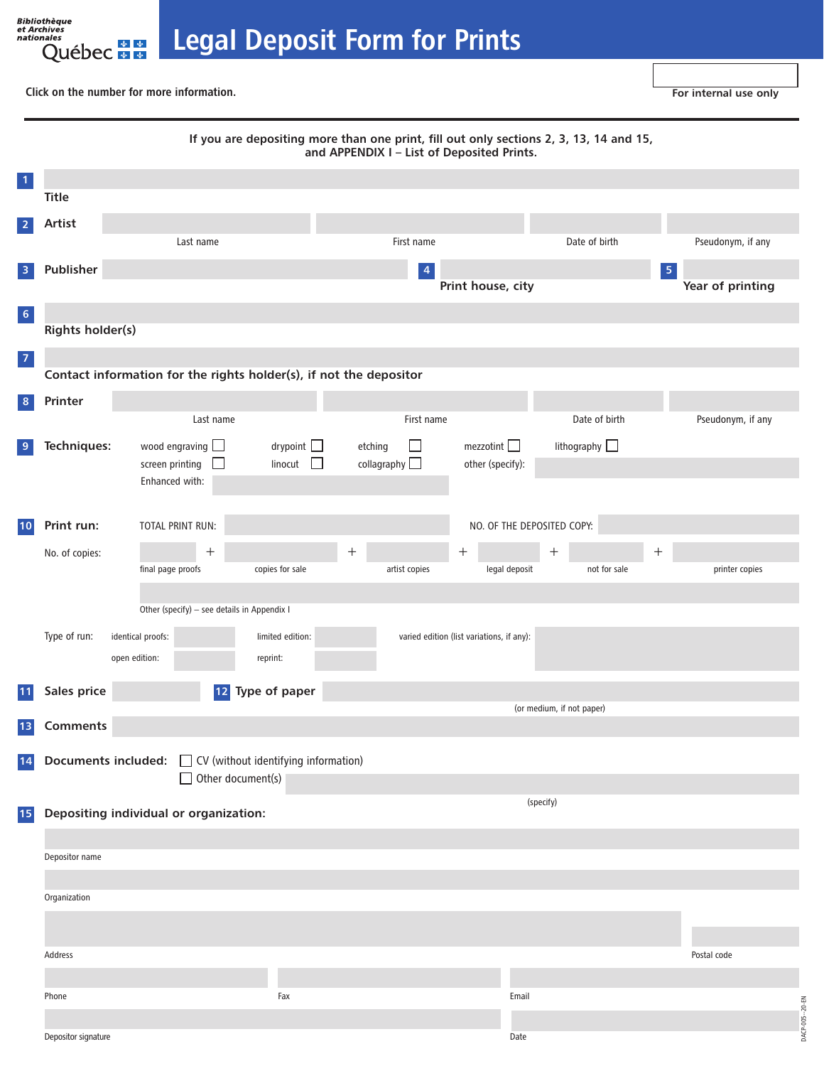Legal Deposit Form for Prints

Click on the number for more information.

nales<br>Québec \* \*

<span id="page-0-0"></span>Bibliothèque<br>et Archives<br>nationales

|                                    | If you are depositing more than one print, fill out only sections 2, 3, 13, 14 and 15,<br>and APPENDIX I - List of Deposited Prints. |                                                                    |                   |                                           |                            |                           |                   |  |  |  |  |
|------------------------------------|--------------------------------------------------------------------------------------------------------------------------------------|--------------------------------------------------------------------|-------------------|-------------------------------------------|----------------------------|---------------------------|-------------------|--|--|--|--|
| $\vert$ 1                          |                                                                                                                                      |                                                                    |                   |                                           |                            |                           |                   |  |  |  |  |
|                                    | <b>Title</b>                                                                                                                         |                                                                    |                   |                                           |                            |                           |                   |  |  |  |  |
| $\overline{2}$                     | Artist                                                                                                                               |                                                                    |                   |                                           |                            |                           |                   |  |  |  |  |
|                                    |                                                                                                                                      | Last name                                                          |                   | First name                                |                            | Date of birth             | Pseudonym, if any |  |  |  |  |
| $\overline{\mathbf{3}}$            | Publisher                                                                                                                            |                                                                    |                   | $\vert 4 \vert$                           |                            |                           | $\sqrt{5}$        |  |  |  |  |
|                                    |                                                                                                                                      |                                                                    |                   | Print house, city                         | Year of printing           |                           |                   |  |  |  |  |
| $6\phantom{.}6$                    |                                                                                                                                      |                                                                    |                   |                                           |                            |                           |                   |  |  |  |  |
|                                    | <b>Rights holder(s)</b>                                                                                                              |                                                                    |                   |                                           |                            |                           |                   |  |  |  |  |
| $\begin{array}{c} \n7 \end{array}$ |                                                                                                                                      |                                                                    |                   |                                           |                            |                           |                   |  |  |  |  |
|                                    |                                                                                                                                      | Contact information for the rights holder(s), if not the depositor |                   |                                           |                            |                           |                   |  |  |  |  |
| 8                                  | Printer                                                                                                                              |                                                                    |                   |                                           |                            |                           |                   |  |  |  |  |
|                                    |                                                                                                                                      | Last name                                                          |                   | First name                                |                            | Date of birth             | Pseudonym, if any |  |  |  |  |
| $\overline{9}$                     | Techniques:                                                                                                                          | wood engraving $\Box$                                              | drypoint          | etching<br>$\mathbf{I}$                   | mezzotint $\Box$           | lithography $\Box$        |                   |  |  |  |  |
|                                    |                                                                                                                                      | screen printing                                                    | linocut<br>$\Box$ | collagraphy                               | other (specify):           |                           |                   |  |  |  |  |
|                                    |                                                                                                                                      | Enhanced with:                                                     |                   |                                           |                            |                           |                   |  |  |  |  |
|                                    |                                                                                                                                      |                                                                    |                   |                                           |                            |                           |                   |  |  |  |  |
| 10                                 | Print run:                                                                                                                           | TOTAL PRINT RUN:                                                   |                   |                                           | NO. OF THE DEPOSITED COPY: |                           |                   |  |  |  |  |
|                                    | No. of copies:                                                                                                                       |                                                                    | $^+$              |                                           | $^{+}$                     |                           | $^{+}$            |  |  |  |  |
|                                    |                                                                                                                                      | final page proofs                                                  | copies for sale   | artist copies                             | legal deposit              | not for sale              | printer copies    |  |  |  |  |
|                                    |                                                                                                                                      |                                                                    |                   |                                           |                            |                           |                   |  |  |  |  |
|                                    | Other (specify) - see details in Appendix I                                                                                          |                                                                    |                   |                                           |                            |                           |                   |  |  |  |  |
|                                    | Type of run:<br>identical proofs:<br>limited edition:                                                                                |                                                                    |                   | varied edition (list variations, if any): |                            |                           |                   |  |  |  |  |
|                                    |                                                                                                                                      | open edition:                                                      | reprint:          |                                           |                            |                           |                   |  |  |  |  |
| <b>11</b>                          | Sales price                                                                                                                          | $12$                                                               | Type of paper     |                                           |                            |                           |                   |  |  |  |  |
|                                    |                                                                                                                                      |                                                                    |                   |                                           |                            | (or medium, if not paper) |                   |  |  |  |  |
| 13                                 | <b>Comments</b>                                                                                                                      |                                                                    |                   |                                           |                            |                           |                   |  |  |  |  |
| 14                                 |                                                                                                                                      | <b>Documents included:</b> □ CV (without identifying information)  |                   |                                           |                            |                           |                   |  |  |  |  |
|                                    |                                                                                                                                      | Other document(s)                                                  |                   |                                           |                            |                           |                   |  |  |  |  |
| 15                                 |                                                                                                                                      | Depositing individual or organization:                             |                   | (specify)                                 |                            |                           |                   |  |  |  |  |
|                                    |                                                                                                                                      |                                                                    |                   |                                           |                            |                           |                   |  |  |  |  |
|                                    | Depositor name                                                                                                                       |                                                                    |                   |                                           |                            |                           |                   |  |  |  |  |
|                                    |                                                                                                                                      |                                                                    |                   |                                           |                            |                           |                   |  |  |  |  |
|                                    | Organization                                                                                                                         |                                                                    |                   |                                           |                            |                           |                   |  |  |  |  |
|                                    |                                                                                                                                      |                                                                    |                   |                                           |                            |                           |                   |  |  |  |  |
|                                    |                                                                                                                                      |                                                                    |                   |                                           |                            |                           |                   |  |  |  |  |
|                                    | Address                                                                                                                              |                                                                    |                   |                                           |                            |                           | Postal code       |  |  |  |  |
|                                    |                                                                                                                                      |                                                                    |                   |                                           |                            |                           |                   |  |  |  |  |
|                                    | Phone                                                                                                                                |                                                                    | Fax               |                                           | Email                      |                           | $-20-EN$          |  |  |  |  |
|                                    |                                                                                                                                      |                                                                    |                   |                                           |                            |                           | DACP-005-         |  |  |  |  |
|                                    | Depositor signature                                                                                                                  |                                                                    |                   |                                           | Date                       |                           |                   |  |  |  |  |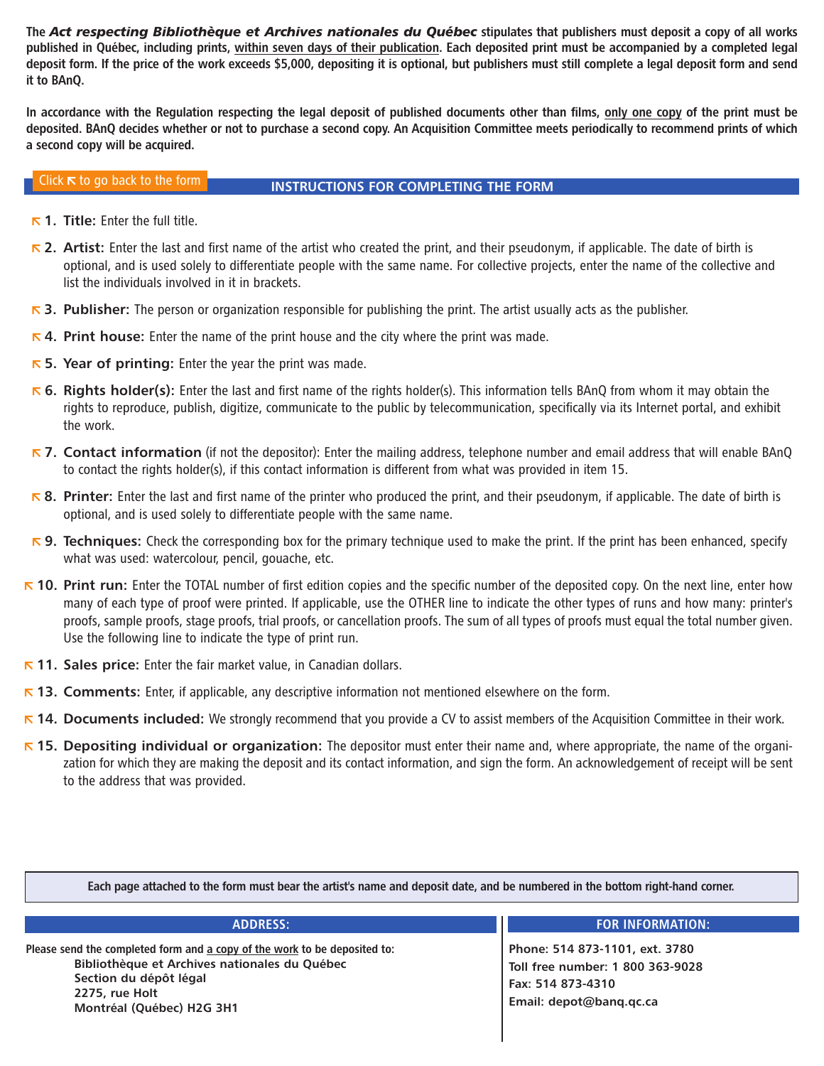<span id="page-1-0"></span>The *Act respecting Bibliothèque et Archives nationales du Québec* stipulates that publishers must deposit a copy of all works published in Québec, including prints, within seven days of their publication. Each deposited print must be accompanied by a completed legal deposit form. If the price of the work exceeds \$5,000, depositing it is optional, but publishers must still complete a legal deposit form and send it to BAnQ.

In accordance with the Regulation respecting the legal deposit of published documents other than films, only one copy of the print must be deposited. BAnQ decides whether or not to purchase a second copy. An Acquisition Committee meets periodically to recommend prints of which a second copy will be acquired.

## Click  $\kappa$  to go back to the form **INSTRUCTIONS FOR COMPLETING THE FORM**

- $\overline{R}$  [1.](#page-0-0) Title: Enter the full title.
- $\overline{R}$  [2.](#page-0-0) Artist: Enter the last and first name of the artist who created the print, and their pseudonym, if applicable. The date of birth is optional, and is used solely to differentiate people with the same name. For collective projects, enter the name of the collective and list the individuals involved in it in brackets.
- $\triangleright$  [3.](#page-0-0) Publisher: The person or organization responsible for publishing the print. The artist usually acts as the publisher.
- $\overline{6}$  4. Print house: Enter the name of the print house and the city where the print was made.
- $\overline{R}$  5. Year of printing: Enter the year the print was made.
- $\overline{R}$  6. Rights holder(s): Enter the last and first name of the rights holder(s). This information tells BAnQ from whom it may obtain the rights to reproduce, publish, digitize, communicate to the public by telecommunication, specifically via its Internet portal, and exhibit the work.
- $\nabla$  7. Contact information (if not the depositor): Enter the mailing address, telephone number and email address that will enable BAnQ to contact the rights holder(s), if this contact information is different from what was provided in item 15.
- **下[8.](#page-0-0) Printer:** Enter the last and first name of the printer who produced the print, and their pseudonym, if applicable. The date of birth is optional, and is used solely to differentiate people with the same name.
- 5. Techniques: Check the corresponding box for the primary technique used to make the print. If the print has been enhanced, specify what was used: watercolour, pencil, gouache, etc.
- **F** [10.](#page-0-0) Print run: Enter the TOTAL number of first edition copies and the specific number of the deposited copy. On the next line, enter how many of each type of proof were printed. If applicable, use the OTHER line to indicate the other types of runs and how many: printer's proofs, sample proofs, stage proofs, trial proofs, or cancellation proofs. The sum of all types of proofs must equal the total number given. Use the following line to indicate the type of print run.
- $\overline{R}$  [11.](#page-0-0) Sales price: Enter the fair market value, in Canadian dollars.
- $\bar{\phantom{1}}$  [13.](#page-0-0) Comments: Enter, if applicable, any descriptive information not mentioned elsewhere on the form.
- **Fether [14.](#page-0-0) Documents included:** We strongly recommend that you provide a CV to assist members of the Acquisition Committee in their work.
- $\triangleright$  [15.](#page-0-0) Depositing individual or organization: The depositor must enter their name and, where appropriate, the name of the organization for which they are making the deposit and its contact information, and sign the form. An acknowledgement of receipt will be sent to the address that was provided.

Each page attached to the form must bear the artist's name and deposit date, and be numbered in the bottom right-hand corner.

Please send the completed form and a copy of the work to be deposited to: Bibliothèque et Archives nationales du Québec Section du dépôt légal 2275, rue Holt Montréal (Québec) H2G 3H1

### ADDRESS: FOR INFORMATION:

Phone: 514 873-1101, ext. 3780 Toll free number: 1 800 363-9028 Fax: 514 873-4310 Email: depot@banq.qc.ca